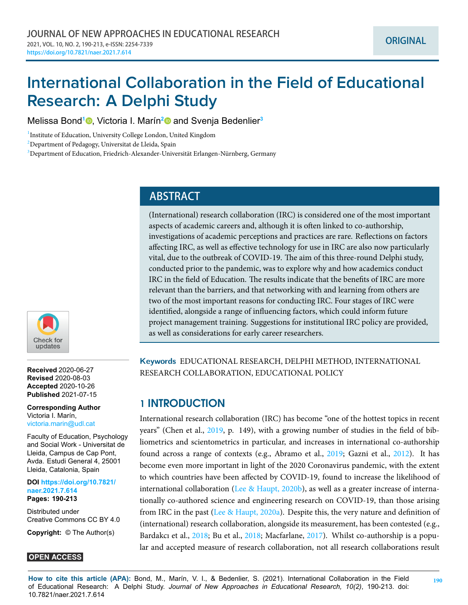# **International Collaboration in the Field of Educational Research: A Delphi Study**

Melissa Bond**<sup>1</sup>** [,](https://orcid.org/0000-0002-8267-031X) Victoria I. Marín**[2](https://orcid.org/0000-0002-4673-6190)** and Svenja Bedenlier**<sup>3</sup>**

<sup>1</sup> Institute of Education, University College London, United Kingdom

<sup>2</sup>Department of Pedagogy, Universitat de Lleida, Spain

 $3$ Department of Education, Friedrich-Alexander-Universität Erlangen-Nürnberg, Germany

# **ABSTRACT**

(International) research collaboration (IRC) is considered one of the most important aspects of academic careers and, although it is often linked to co-authorship, investigations of academic perceptions and practices are rare. Reflections on factors affecting IRC, as well as effective technology for use in IRC are also now particularly vital, due to the outbreak of COVID-19. The aim of this three-round Delphi study, conducted prior to the pandemic, was to explore why and how academics conduct IRC in the field of Education. The results indicate that the benefits of IRC are more relevant than the barriers, and that networking with and learning from others are two of the most important reasons for conducting IRC. Four stages of IRC were identified, alongside a range of influencing factors, which could inform future project management training. Suggestions for institutional IRC policy are provided, as well as considerations for early career researchers.

**Keywords** EDUCATIONAL RESEARCH, DELPHI METHOD, INTERNATIONAL RESEARCH COLLABORATION, EDUCATIONAL POLICY

# **1 INTRODUCTION**

International research collaboration (IRC) has become "one of the hottest topics in recent years" (Chen et al., [2019,](#page-19-0) p. 149), with a growing number of studies in the field of bibliometrics and scientometrics in particular, and increases in international co-authorship found across a range of contexts (e.g., Abramo et al., [2019;](#page-18-0) Gazni et al., [2012\)](#page-20-0). It has become even more important in light of the 2020 Coronavirus pandemic, with the extent to which countries have been affected by COVID-19, found to increase the likelihood of international collaboration([Lee & Haupt](#page-21-0), [2020b](#page-21-0)), as well as a greater increase of internationally co-authored science and engineering research on COVID-19, than those arising fromIRC in the past ([Lee & Haupt](#page-21-1),  $2020a$ ). Despite this, the very nature and definition of (international) research collaboration, alongside its measurement, has been contested (e.g., Bardakcı et al., [2018](#page-19-1); Bu et al., 2018; Macfarlane, [2017](#page-22-0)). Whilst co-authorship is a popular and accepted measure of research collaboration, not all research collaborations result



**Received** 2020-06-27 **Revised** 2020-08-03 **Accepted** 2020-10-26 **Published** 2021-07-15

**Corresponding Author** Victoria I. Marín, <victoria.marin@udl.cat>

Faculty of Education, Psychology and Social Work - Universitat de Lleida, Campus de Cap Pont, Avda. Estudi General 4, 25001 Lleida, Catalonia, Spain

**DOI [https://doi.org/10.7821/](https://doi.org/10.7821/naer.2021.7.614) [naer.2021.7.614](https://doi.org/10.7821/naer.2021.7.614) Pages: 190[-213](#page-23-0)**

Distributed under Creative Commons CC BY 4.0

**Copyright:** © The Author(s)

# **OPEN ACCESS**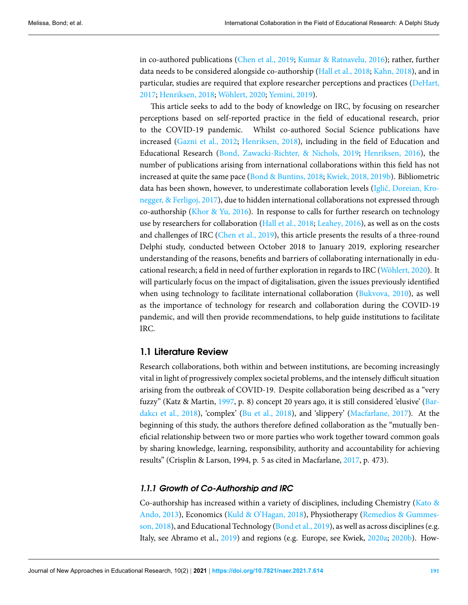in co-authored publications([Chen et al.](#page-19-0), [2019;](#page-19-0) [Kumar & Ratnavelu](#page-21-2), [2016](#page-21-2)); rather, further data needs to be considered alongside co-authorship([Hall et al.](#page-20-1), [2018](#page-20-1); [Kahn,](#page-21-3) [2018\)](#page-21-3), and in particular, studies are required that explore researcher perceptions and practices([DeHart,](#page-19-2) [2017;](#page-19-2) [Henriksen,](#page-20-2) [2018;](#page-20-2) [Wöhlert](#page-23-1), [2020](#page-23-1); [Yemini](#page-23-2), [2019](#page-23-2)).

This article seeks to add to the body of knowledge on IRC, by focusing on researcher perceptions based on self-reported practice in the field of educational research, prior to the COVID-19 pandemic. Whilst co-authored Social Science publications have increased([Gazni et al.](#page-20-0), [2012](#page-20-0); [Henriksen](#page-20-2), [2018\)](#page-20-2), including in the field of Education and Educational Research([Bond, Zawacki-Richter, & Nichols,](#page-19-3) [2019;](#page-19-3) [Henriksen](#page-20-3), [2016](#page-20-3)), the number of publications arising from international collaborations within this field has not increased at quite the same pace [\(Bond & Buntins](#page-18-2), [2018;](#page-18-2) [Kwiek](#page-21-4), [2018](#page-21-4), [2019b](#page-21-5)). Bibliometric data has been shown, however, to underestimate collaboration levels [\(Iglič, Doreian, Kro](#page-20-4)[negger, & Ferligoj](#page-20-4), [2017\)](#page-20-4), due to hidden international collaborations not expressed through co-authorship([Khor & Yu,](#page-21-6) [2016](#page-21-6)). In response to calls for further research on technology use by researchers for collaboration [\(Hall et al.,](#page-20-1) [2018](#page-20-1); [Leahey](#page-21-7), [2016](#page-21-7)), as well as on the costs and challenges of IRC [\(Chen et al.,](#page-19-0) [2019\)](#page-19-0), this article presents the results of a three-round Delphi study, conducted between October 2018 to January 2019, exploring researcher understanding of the reasons, benefits and barriers of collaborating internationally in educational research; a field in need of further exploration in regards to IRC([Wöhlert,](#page-23-1) [2020](#page-23-1)). It will particularly focus on the impact of digitalisation, given the issues previously identified whenusing technology to facilitate international collaboration ([Bukvova](#page-19-4), [2010\)](#page-19-4), as well as the importance of technology for research and collaboration during the COVID-19 pandemic, and will then provide recommendations, to help guide institutions to facilitate IRC.

# **1.1 Literature Review**

Research collaborations, both within and between institutions, are becoming increasingly vital in light of progressively complex societal problems, and the intensely difficult situation arising from the outbreak of COVID-19. Despite collaboration being described as a "very fuzzy" (Katz & Martin, [1997](#page-21-8), p. 8) concept 20 years ago, it is still considered 'elusive' [\(Bar](#page-18-1)[dakcı et al.,](#page-18-1) [2018\)](#page-18-1), 'complex' [\(Bu et al.](#page-19-1), [2018\)](#page-19-1), and 'slippery' [\(Macfarlane](#page-22-0), [2017](#page-22-0)). At the beginning of this study, the authors therefore defined collaboration as the "mutually beneficial relationship between two or more parties who work together toward common goals by sharing knowledge, learning, responsibility, authority and accountability for achieving results" (Crisplin & Larson, 1994, p. 5 as cited in Macfarlane, [2017](#page-22-0), p. 473).

### *1.1.1 Growth of Co-Authorship and IRC*

Co-authorship has increased within a variety of disciplines, including Chemistry([Kato &](#page-21-9) [Ando,](#page-21-9) [2013\)](#page-21-9), Economics([Kuld & O'Hagan,](#page-21-10) [2018](#page-21-10)), Physiotherapy([Remedios & Gummes](#page-22-1)[son](#page-22-1), [2018\)](#page-22-1),and Educational Technology ([Bond et al.,](#page-19-3) [2019](#page-19-3)), as well as across disciplines (e.g. Italy, see Abramo et al., [2019\)](#page-18-0) and regions (e.g. Europe, see Kwiek, [2020a;](#page-21-11) [2020b\)](#page-21-12). How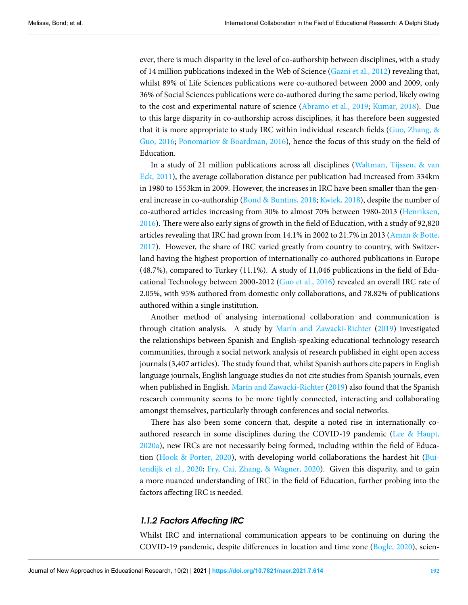ever, there is much disparity in the level of co-authorship between disciplines, with a study of 14 million publications indexed in the Web of Science([Gazni et al.,](#page-20-0) [2012](#page-20-0)) revealing that, whilst 89% of Life Sciences publications were co-authored between 2000 and 2009, only 36% of Social Sciences publications were co-authored during the same period, likely owing to the cost and experimental nature of science([Abramo et al.](#page-18-0), [2019;](#page-18-0) [Kumar](#page-21-13), [2018\)](#page-21-13). Due to this large disparity in co-authorship across disciplines, it has therefore been suggested that it is more appropriate to study IRC within individual research fields [\(Guo, Zhang, &](#page-20-5) [Guo,](#page-20-5) [2016](#page-20-5); [Ponomariov & Boardman,](#page-22-2) [2016](#page-22-2)), hence the focus of this study on the field of Education.

In a study of 21 million publications across all disciplines [\(Waltman, Tijssen, & van](#page-23-3) [Eck](#page-23-3), [2011](#page-23-3)), the average collaboration distance per publication had increased from 334km in 1980 to 1553km in 2009. However, the increases in IRC have been smaller than the general increase in co-authorship([Bond & Buntins](#page-18-2), [2018](#page-18-2); [Kwiek,](#page-21-4) [2018\)](#page-21-4), despite the number of co-authored articles increasing from 30% to almost 70% between 1980-2013([Henriksen,](#page-20-3) [2016\)](#page-20-3). There were also early signs of growth in the field of Education, with a study of 92,820 articles revealing that IRC had grown from 14.1% in 2002 to 21.7% in 2013 [\(Aman & Botte,](#page-18-3) [2017\)](#page-18-3). However, the share of IRC varied greatly from country to country, with Switzerland having the highest proportion of internationally co-authored publications in Europe (48.7%), compared to Turkey (11.1%). A study of 11,046 publications in the field of Educational Technology between 2000-2012([Guo et al.](#page-20-5), [2016\)](#page-20-5) revealed an overall IRC rate of 2.05%, with 95% authored from domestic only collaborations, and 78.82% of publications authored within a single institution.

Another method of analysing international collaboration and communication is through citation analysis. A study by [Marín and Zawacki-Richter](#page-22-3) [\(2019](#page-22-3)) investigated the relationships between Spanish and English-speaking educational technology research communities, through a social network analysis of research published in eight open access journals (3,407 articles). The study found that, whilst Spanish authors cite papers in English language journals, English language studies do not cite studies from Spanish journals, even when published in English. [Marín and Zawacki-Richter](#page-22-3) [\(2019](#page-22-3)) also found that the Spanish research community seems to be more tightly connected, interacting and collaborating amongst themselves, particularly through conferences and social networks.

There has also been some concern that, despite a noted rise in internationally coauthored research in some disciplines during the COVID-19 pandemic([Lee & Haupt,](#page-21-1) [2020a\)](#page-21-1), new IRCs are not necessarily being formed, including within the field of Education [\(Hook & Porter,](#page-20-6) [2020\)](#page-20-6), with developing world collaborations the hardest hit [\(Bui](#page-19-5)[tendijk et al.](#page-19-5), [2020](#page-19-5); [Fry, Cai, Zhang, & Wagner,](#page-19-6) [2020\)](#page-19-6). Given this disparity, and to gain a more nuanced understanding of IRC in the field of Education, further probing into the factors affecting IRC is needed.

# *1.1.2 Factors Affecting IRC*

Whilst IRC and international communication appears to be continuing on during the COVID-19 pandemic, despite differences in location and time zone [\(Bogle,](#page-18-4) [2020\)](#page-18-4), scien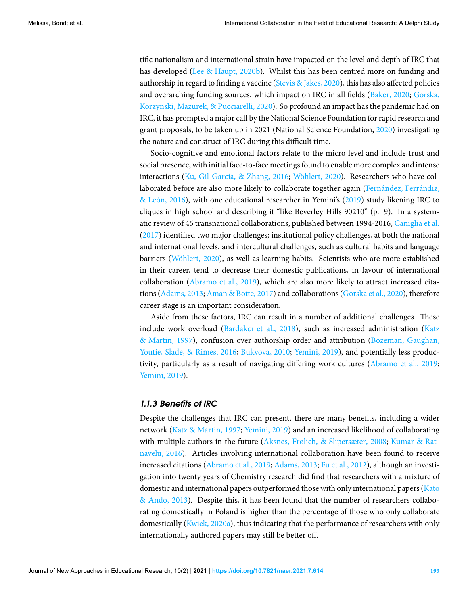tific nationalism and international strain have impacted on the level and depth of IRC that has developed([Lee & Haupt](#page-21-0), [2020b](#page-21-0)). Whilst this has been centred more on funding and authorship in regard to finding a vaccine [\(Stevis & Jakes](#page-23-4), [2020\)](#page-23-4), this has also affected policies and overarching funding sources, which impact on IRC in all fields [\(Baker,](#page-18-5) [2020;](#page-18-5) [Gorska,](#page-20-7) [Korzynski, Mazurek, & Pucciarelli,](#page-20-7) [2020](#page-20-7)). So profound an impact has the pandemic had on IRC, it has prompted a major call by the National Science Foundation for rapid research and grant proposals, to be taken up in 2021 (National Science Foundation, [2020](#page-22-4)) investigating the nature and construct of IRC during this difficult time.

Socio-cognitive and emotional factors relate to the micro level and include trust and social presence, with initial face-to-face meetings found to enable more complex and intense interactions([Ku, Gil-Garcia, & Zhang](#page-21-14), [2016;](#page-21-14) [Wöhlert](#page-23-1), [2020\)](#page-23-1). Researchers who have collaborated before are also more likely to collaborate together again([Fernández, Ferrándiz,](#page-19-7) [& León,](#page-19-7) [2016\)](#page-19-7), with one educational researcher in Yemini's([2019\)](#page-23-2) study likening IRC to cliques in high school and describing it "like Beverley Hills 90210" (p. 9). In a systematic review of 46 transnational collaborations, published between 1994-2016, [Caniglia et al.](#page-19-8)  $(2017)$  $(2017)$  identified two major challenges; institutional policy challenges, at both the national and international levels, and intercultural challenges, such as cultural habits and language barriers [\(Wöhlert,](#page-23-1) [2020\)](#page-23-1), as well as learning habits. Scientists who are more established in their career, tend to decrease their domestic publications, in favour of international collaboration([Abramo et al.,](#page-18-0) [2019\)](#page-18-0), which are also more likely to attract increased citations [\(Adams,](#page-18-6) [2013](#page-18-6); [Aman & Botte](#page-18-3), [2017\)](#page-18-3) and collaborations([Gorska et al.](#page-20-7), [2020](#page-20-7)), therefore career stage is an important consideration.

Aside from these factors, IRC can result in a number of additional challenges. These include work overload([Bardakcı et al.,](#page-18-1) [2018\)](#page-18-1), such as increased administration [\(Katz](#page-21-8) [& Martin,](#page-21-8) [1997](#page-21-8)), confusion over authorship order and attribution [\(Bozeman, Gaughan,](#page-19-9) [Youtie, Slade, & Rimes](#page-19-9), [2016;](#page-19-9) [Bukvova,](#page-19-4) [2010;](#page-19-4) [Yemini](#page-23-2), [2019\)](#page-23-2), and potentially less productivity, particularly as a result of navigating differing work cultures [\(Abramo et al.,](#page-18-0) [2019;](#page-18-0) [Yemini,](#page-23-2) [2019\)](#page-23-2).

### *1.1.3 Benefits of IRC*

Despite the challenges that IRC can present, there are many benefits, including a wider network [\(Katz & Martin,](#page-21-8) [1997;](#page-21-8) [Yemini,](#page-23-2) [2019\)](#page-23-2) and an increased likelihood of collaborating with multiple authors in the future([Aksnes, Frølich, & Slipersæter,](#page-18-7) [2008;](#page-18-7) [Kumar & Rat](#page-21-2)[navelu](#page-21-2), [2016](#page-21-2)). Articles involving international collaboration have been found to receive increased citations([Abramo et al.](#page-18-0), [2019;](#page-18-0) [Adams](#page-18-6), [2013](#page-18-6); [Fu et al.](#page-20-8), [2012\)](#page-20-8), although an investigation into twenty years of Chemistry research did find that researchers with a mixture of domestic and international papers outperformed those with only international papers([Kato](#page-21-9) [& Ando,](#page-21-9) [2013\)](#page-21-9). Despite this, it has been found that the number of researchers collaborating domestically in Poland is higher than the percentage of those who only collaborate domestically([Kwiek,](#page-21-11) [2020a](#page-21-11)), thus indicating that the performance of researchers with only internationally authored papers may still be better off.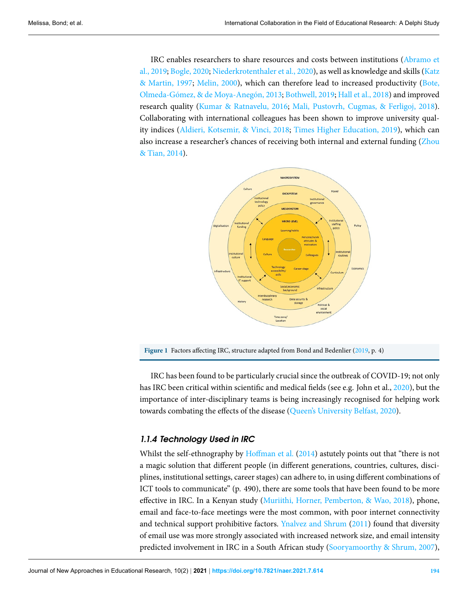IRC enables researchers to share resources and costs between institutions [\(Abramo et](#page-18-0) [al.,](#page-18-0) [2019](#page-18-0); [Bogle,](#page-18-4) [2020](#page-18-4); [Niederkrotenthaler et al.](#page-22-5), [2020\)](#page-22-5), as well as knowledge and skills [\(Katz](#page-21-8) [& Martin,](#page-21-8) [1997;](#page-21-8) [Melin,](#page-22-6) [2000\)](#page-22-6), which can therefore lead to increased productivity([Bote,](#page-19-10) [Olmeda-Gómez, & de Moya-Anegón](#page-19-10), [2013;](#page-19-10) [Bothwell](#page-19-11), [2019;](#page-19-11) [Hall et al.](#page-20-1), [2018\)](#page-20-1) and improved research quality [\(Kumar & Ratnavelu](#page-21-2), [2016;](#page-21-2) [Mali, Pustovrh, Cugmas, & Ferligoj,](#page-22-7) [2018\)](#page-22-7). Collaborating with international colleagues has been shown to improve university quality indices [\(Aldieri, Kotsemir, & Vinci,](#page-18-8) [2018;](#page-18-8) [Times Higher Education](#page-23-5), [2019](#page-23-5)), which can also increase a researcher's chances of receiving both internal and external funding([Zhou](#page-23-6) [& Tian](#page-23-6), [2014](#page-23-6)).



Figure1 Factors affecting IRC, structure adapted from Bond and Bedenlier ([2019,](#page-18-9) p. 4)

IRC has been found to be particularly crucial since the outbreak of COVID-19; not only has IRC been critical within scientific and medical fields (see e.g. John et al., [2020\)](#page-20-9), but the importance of inter-disciplinary teams is being increasingly recognised for helping work towards combating the effects of the disease [\(Queen's University Belfast](#page-22-8), [2020](#page-22-8)).

### *1.1.4 Technology Used in IRC*

Whilst the self-ethnography by [Hoffman et al.](#page-20-10) ([2014\)](#page-20-10) astutely points out that "there is not a magic solution that different people (in different generations, countries, cultures, disciplines, institutional settings, career stages) can adhere to, in using different combinations of ICT tools to communicate" (p. 490), there are some tools that have been found to be more effective in IRC. In a Kenyan study [\(Muriithi, Horner, Pemberton, & Wao](#page-22-9), [2018\)](#page-22-9), phone, email and face-to-face meetings were the most common, with poor internet connectivity and technical support prohibitive factors. [Ynalvez and Shrum](#page-23-7) ([2011\)](#page-23-7) found that diversity of email use was more strongly associated with increased network size, and email intensity predicted involvement in IRC in a South African study([Sooryamoorthy & Shrum,](#page-23-8) [2007\)](#page-23-8),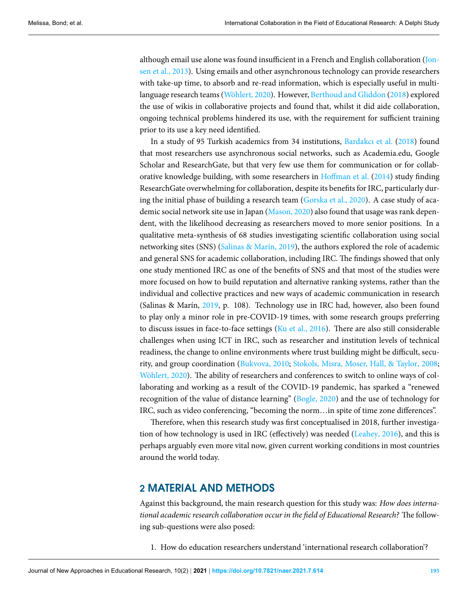although email use alone was found insufficient in a French and English collaboration([Jon](#page-20-11)[sen et al.](#page-20-11), [2013](#page-20-11)). Using emails and other asynchronous technology can provide researchers with take-up time, to absorb and re-read information, which is especially useful in multilanguage research teams([Wöhlert,](#page-23-1) [2020](#page-23-1)). However, [Berthoud and Gliddon](#page-18-10) [\(2018](#page-18-10)) explored the use of wikis in collaborative projects and found that, whilst it did aide collaboration, ongoing technical problems hindered its use, with the requirement for sufficient training prior to its use a key need identified.

In a study of 95 Turkish academics from 34 institutions, [Bardakcı et al.](#page-18-1) [\(2018\)](#page-18-1) found that most researchers use asynchronous social networks, such as Academia.edu, Google Scholar and ResearchGate, but that very few use them for communication or for collaborative knowledge building, with some researchers in [Hoffman et al.](#page-20-10) ([2014](#page-20-10)) study finding ResearchGate overwhelming for collaboration, despite its benefits for IRC, particularly during the initial phase of building a research team [\(Gorska et al.,](#page-20-7) [2020](#page-20-7)). A case study of academic social network site use in Japan([Mason](#page-22-10), [2020\)](#page-22-10) also found that usage was rank dependent, with the likelihood decreasing as researchers moved to more senior positions. In a qualitative meta-synthesis of 68 studies investigating scientific collaboration using social networking sites (SNS) [\(Salinas & Marín,](#page-22-11) [2019\)](#page-22-11), the authors explored the role of academic and general SNS for academic collaboration, including IRC. The findings showed that only one study mentioned IRC as one of the benefits of SNS and that most of the studies were more focused on how to build reputation and alternative ranking systems, rather than the individual and collective practices and new ways of academic communication in research (Salinas & Marín, [2019,](#page-22-11) p. 108). Technology use in IRC had, however, also been found to play only a minor role in pre-COVID-19 times, with some research groups preferring to discuss issues in face-to-face settings [\(Ku et al.,](#page-21-14) [2016](#page-21-14)). There are also still considerable challenges when using ICT in IRC, such as researcher and institution levels of technical readiness, the change to online environments where trust building might be difficult, security, and group coordination [\(Bukvova,](#page-19-4) [2010](#page-19-4); [Stokols, Misra, Moser, Hall, & Taylor](#page-23-9), [2008;](#page-23-9) [Wöhlert,](#page-23-1) [2020\)](#page-23-1). The ability of researchers and conferences to switch to online ways of collaborating and working as a result of the COVID-19 pandemic, has sparked a "renewed recognition of the value of distance learning" [\(Bogle,](#page-18-4) [2020](#page-18-4)) and the use of technology for IRC, such as video conferencing, "becoming the norm…in spite of time zone differences".

Therefore, when this research study was first conceptualised in 2018, further investigation of how technology is used in IRC (effectively) was needed([Leahey,](#page-21-7) [2016\)](#page-21-7), and this is perhaps arguably even more vital now, given current working conditions in most countries around the world today.

# **2 MATERIAL AND METHODS**

Against this background, the main research question for this study was: *How does international academic research collaboration occur in the field of Educational Research?* The following sub-questions were also posed:

1. How do education researchers understand 'international research collaboration'?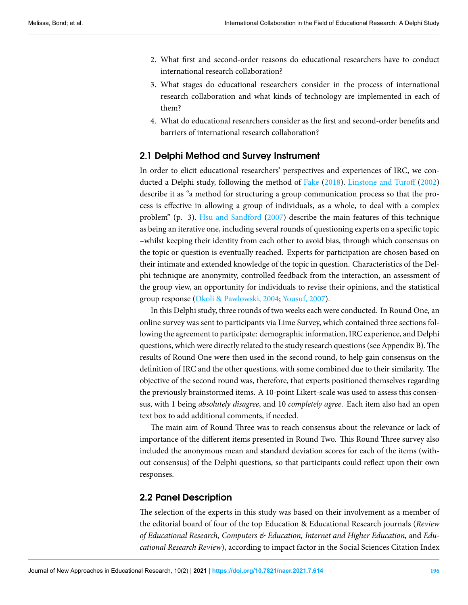- 2. What first and second-order reasons do educational researchers have to conduct international research collaboration?
- 3. What stages do educational researchers consider in the process of international research collaboration and what kinds of technology are implemented in each of them?
- 4. What do educational researchers consider as the first and second-order benefits and barriers of international research collaboration?

# **2.1 Delphi Method and Survey Instrument**

In order to elicit educational researchers' perspectives and experiences of IRC, we conducted a Delphi study, following the method of [Fake](#page-19-12) ([2018\)](#page-19-12). [Linstone and Turoff](#page-21-15) [\(2002](#page-21-15)) describe it as "a method for structuring a group communication process so that the process is effective in allowing a group of individuals, as a whole, to deal with a complex problem" (p. 3). [Hsu and Sandford](#page-20-12) ([2007\)](#page-20-12) describe the main features of this technique as being an iterative one, including several rounds of questioning experts on a specific topic –whilst keeping their identity from each other to avoid bias, through which consensus on the topic or question is eventually reached. Experts for participation are chosen based on their intimate and extended knowledge of the topic in question. Characteristics of the Delphi technique are anonymity, controlled feedback from the interaction, an assessment of the group view, an opportunity for individuals to revise their opinions, and the statistical group response([Okoli & Pawlowski](#page-22-12), [2004](#page-22-12); [Yousuf,](#page-23-10) [2007\)](#page-23-10).

In this Delphi study, three rounds of two weeks each were conducted. In Round One, an online survey was sent to participants via Lime Survey, which contained three sections following the agreement to participate: demographic information, IRC experience, and Delphi questions, which were directly related to the study research questions (see Appendix B).The results of Round One were then used in the second round, to help gain consensus on the definition of IRC and the other questions, with some combined due to their similarity. The objective of the second round was, therefore, that experts positioned themselves regarding the previously brainstormed items. A 10-point Likert-scale was used to assess this consensus, with 1 being *absolutely disagree*, and 10 *completely agree*. Each item also had an open text box to add additional comments, if needed.

The main aim of Round Three was to reach consensus about the relevance or lack of importance of the different items presented in Round Two. This Round Three survey also included the anonymous mean and standard deviation scores for each of the items (without consensus) of the Delphi questions, so that participants could reflect upon their own responses.

### **2.2 Panel Description**

The selection of the experts in this study was based on their involvement as a member of the editorial board of four of the top Education & Educational Research journals (*Review of Educational Research, Computers & Education, Internet and Higher Education,* and *Educational Research Review*), according to impact factor in the Social Sciences Citation Index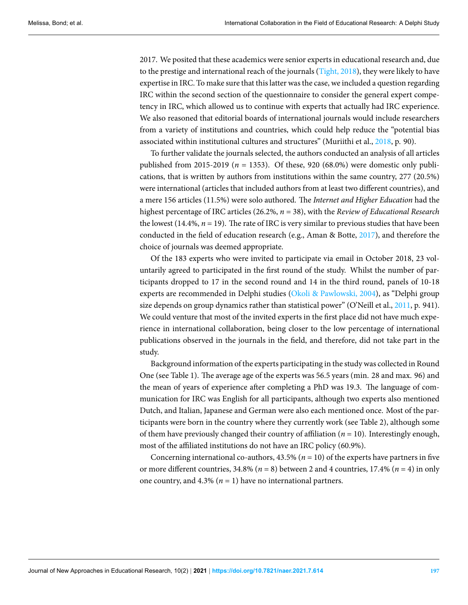2017. We posited that these academics were senior experts in educational research and, due to the prestige and international reach of the journals [\(Tight,](#page-23-11) [2018\)](#page-23-11), they were likely to have expertise in IRC. To make sure that this latter was the case, we included a question regarding IRC within the second section of the questionnaire to consider the general expert competency in IRC, which allowed us to continue with experts that actually had IRC experience. We also reasoned that editorial boards of international journals would include researchers from a variety of institutions and countries, which could help reduce the "potential bias associated within institutional cultures and structures" (Muriithi et al., [2018,](#page-22-9) p. 90).

To further validate the journals selected, the authors conducted an analysis of all articles published from 2015-2019 (*n* = 1353). Of these, 920 (68.0%) were domestic only publications, that is written by authors from institutions within the same country, 277 (20.5%) were international (articles that included authors from at least two different countries), and a mere 156 articles (11.5%) were solo authored. The *Internet and Higher Education* had the highest percentage of IRC articles (26.2%, *n* = 38), with the *Review of Educational Research* the lowest (14.4%,  $n = 19$ ). The rate of IRC is very similar to previous studies that have been conducted in the field of education research (e.g., Aman & Botte, [2017\)](#page-18-3), and therefore the choice of journals was deemed appropriate.

Of the 183 experts who were invited to participate via email in October 2018, 23 voluntarily agreed to participated in the first round of the study. Whilst the number of participants dropped to 17 in the second round and 14 in the third round, panels of 10-18 experts are recommended in Delphi studies [\(Okoli & Pawlowski](#page-22-12), [2004\)](#page-22-12), as "Delphi group size depends on group dynamics rather than statistical power" (O'Neill et al., [2011](#page-22-13), p. 941). We could venture that most of the invited experts in the first place did not have much experience in international collaboration, being closer to the low percentage of international publications observed in the journals in the field, and therefore, did not take part in the study.

Background information of the experts participating in the study was collected in Round One (see Table [1](#page-8-0)). The average age of the experts was 56.5 years (min. 28 and max. 96) and the mean of years of experience after completing a PhD was 19.3. The language of communication for IRC was English for all participants, although two experts also mentioned Dutch, and Italian, Japanese and German were also each mentioned once. Most of the participants were born in the country where they currently work (see Table [2\)](#page-8-1), although some of them have previously changed their country of affiliation  $(n = 10)$ . Interestingly enough, most of the affiliated institutions do not have an IRC policy (60.9%).

Concerning international co-authors,  $43.5\%$  ( $n = 10$ ) of the experts have partners in five or more different countries,  $34.8\%$  ( $n = 8$ ) between 2 and 4 countries,  $17.4\%$  ( $n = 4$ ) in only one country, and  $4.3\%$  ( $n = 1$ ) have no international partners.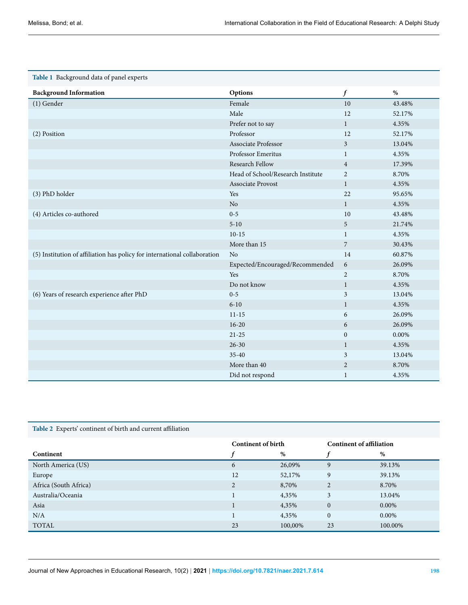<span id="page-8-0"></span>

|  |  |  | Table 1 Background data of panel experts |
|--|--|--|------------------------------------------|
|--|--|--|------------------------------------------|

| <b>Background Information</b>                                             | Options                           | $\boldsymbol{f}$ | $\%$   |
|---------------------------------------------------------------------------|-----------------------------------|------------------|--------|
| (1) Gender                                                                | Female                            | 10               | 43.48% |
|                                                                           | Male                              | 12               | 52.17% |
|                                                                           | Prefer not to say                 | $\mathbf{1}$     | 4.35%  |
| (2) Position                                                              | Professor                         | 12               | 52.17% |
|                                                                           | <b>Associate Professor</b>        | 3                | 13.04% |
|                                                                           | Professor Emeritus                | $\mathbf{1}$     | 4.35%  |
|                                                                           | Research Fellow                   | $\overline{4}$   | 17.39% |
|                                                                           | Head of School/Research Institute | $\overline{2}$   | 8.70%  |
|                                                                           | <b>Associate Provost</b>          | $\mathbf{1}$     | 4.35%  |
| (3) PhD holder                                                            | Yes                               | 22               | 95.65% |
|                                                                           | No                                | $\mathbf{1}$     | 4.35%  |
| (4) Articles co-authored                                                  | $0 - 5$                           | 10               | 43.48% |
|                                                                           | $5 - 10$                          | 5                | 21.74% |
|                                                                           | $10-15$                           | $\mathbf{1}$     | 4.35%  |
|                                                                           | More than 15                      | 7                | 30.43% |
| (5) Institution of affiliation has policy for international collaboration | N <sub>o</sub>                    | 14               | 60.87% |
|                                                                           | Expected/Encouraged/Recommended   | 6                | 26.09% |
|                                                                           | Yes                               | $\overline{2}$   | 8.70%  |
|                                                                           | Do not know                       | $\mathbf{1}$     | 4.35%  |
| (6) Years of research experience after PhD                                | $0 - 5$                           | 3                | 13.04% |
|                                                                           | $6 - 10$                          | $\mathbf{1}$     | 4.35%  |
|                                                                           | $11 - 15$                         | 6                | 26.09% |
|                                                                           | $16 - 20$                         | 6                | 26.09% |
|                                                                           | $21 - 25$                         | $\mathbf{0}$     | 0.00%  |
|                                                                           | $26 - 30$                         | $\mathbf{1}$     | 4.35%  |
|                                                                           | $35 - 40$                         | 3                | 13.04% |
|                                                                           | More than 40                      | $\overline{2}$   | 8.70%  |
|                                                                           | Did not respond                   | $\mathbf{1}$     | 4.35%  |

<span id="page-8-1"></span>

|  | Table 2 Experts' continent of birth and current affiliation |  |
|--|-------------------------------------------------------------|--|
|--|-------------------------------------------------------------|--|

|                       | <b>Continent of birth</b> |         | <b>Continent of affiliation</b> |         |
|-----------------------|---------------------------|---------|---------------------------------|---------|
| Continent             |                           | %       |                                 | %       |
| North America (US)    | 6                         | 26,09%  | 9                               | 39.13%  |
| Europe                | 12                        | 52,17%  | 9                               | 39.13%  |
| Africa (South Africa) | $\overline{2}$            | 8,70%   | $\overline{2}$                  | 8.70%   |
| Australia/Oceania     |                           | 4,35%   | 3                               | 13.04%  |
| Asia                  |                           | 4,35%   | $\mathbf{0}$                    | 0.00%   |
| N/A                   |                           | 4,35%   | $\mathbf{0}$                    | 0.00%   |
| <b>TOTAL</b>          | 23                        | 100,00% | 23                              | 100.00% |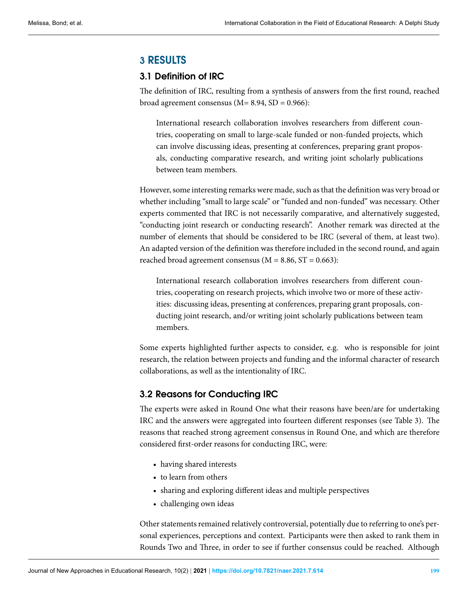# **3 RESULTS**

# **3.1 Definition of IRC**

The definition of IRC, resulting from a synthesis of answers from the first round, reached broad agreement consensus ( $M= 8.94$ ,  $SD = 0.966$ ):

International research collaboration involves researchers from different countries, cooperating on small to large-scale funded or non-funded projects, which can involve discussing ideas, presenting at conferences, preparing grant proposals, conducting comparative research, and writing joint scholarly publications between team members.

However, some interesting remarks were made, such as that the definition was very broad or whether including "small to large scale" or "funded and non-funded" was necessary. Other experts commented that IRC is not necessarily comparative, and alternatively suggested, "conducting joint research or conducting research". Another remark was directed at the number of elements that should be considered to be IRC (several of them, at least two). An adapted version of the definition was therefore included in the second round, and again reached broad agreement consensus ( $M = 8.86$ ,  $ST = 0.663$ ):

International research collaboration involves researchers from different countries, cooperating on research projects, which involve two or more of these activities: discussing ideas, presenting at conferences, preparing grant proposals, conducting joint research, and/or writing joint scholarly publications between team members.

Some experts highlighted further aspects to consider, e.g. who is responsible for joint research, the relation between projects and funding and the informal character of research collaborations, as well as the intentionality of IRC.

# **3.2 Reasons for Conducting IRC**

The experts were asked in Round One what their reasons have been/are for undertaking IRC and the answers were aggregated into fourteen different responses (see Table [3\)](#page-10-0). The reasons that reached strong agreement consensus in Round One, and which are therefore considered first-order reasons for conducting IRC, were:

- having shared interests
- to learn from others
- sharing and exploring different ideas and multiple perspectives
- challenging own ideas

Other statements remained relatively controversial, potentially due to referring to one's personal experiences, perceptions and context. Participants were then asked to rank them in Rounds Two and Three, in order to see if further consensus could be reached. Although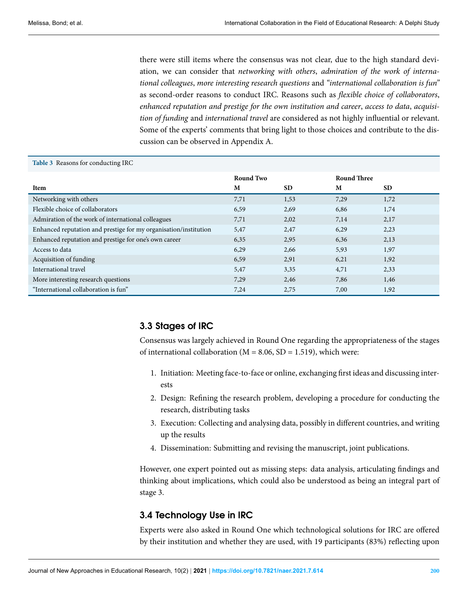<span id="page-10-0"></span>there were still items where the consensus was not clear, due to the high standard deviation, we can consider that *networking with others*, *admiration of the work of international colleagues*, *more interesting research questions* and *"international collaboration is fun"* as second-order reasons to conduct IRC. Reasons such as *flexible choice of collaborators*, *enhanced reputation and prestige for the own institution and career*, *access to data*, *acquisition of funding* and *international travel* are considered as not highly influential or relevant. Some of the experts' comments that bring light to those choices and contribute to the discussion can be observed in Appendix A.

#### **Table 3** Reasons for conducting IRC

|                                                                  | Round Two |           | <b>Round Three</b> |           |
|------------------------------------------------------------------|-----------|-----------|--------------------|-----------|
| Item                                                             | M         | <b>SD</b> | M                  | <b>SD</b> |
| Networking with others                                           | 7.71      | 1,53      | 7,29               | 1,72      |
| Flexible choice of collaborators                                 | 6,59      | 2,69      | 6,86               | 1,74      |
| Admiration of the work of international colleagues               | 7.71      | 2,02      | 7,14               | 2,17      |
| Enhanced reputation and prestige for my organisation/institution | 5,47      | 2,47      | 6,29               | 2,23      |
| Enhanced reputation and prestige for one's own career            | 6,35      | 2,95      | 6,36               | 2,13      |
| Access to data                                                   | 6,29      | 2,66      | 5,93               | 1,97      |
| Acquisition of funding                                           | 6.59      | 2,91      | 6,21               | 1,92      |
| International travel                                             | 5,47      | 3,35      | 4,71               | 2,33      |
| More interesting research questions                              | 7.29      | 2,46      | 7,86               | 1,46      |
| "International collaboration is fun"                             | 7,24      | 2,75      | 7,00               | 1,92      |

# **3.3 Stages of IRC**

Consensus was largely achieved in Round One regarding the appropriateness of the stages of international collaboration ( $M = 8.06$ , SD = 1.519), which were:

- 1. Initiation: Meeting face-to-face or online, exchanging first ideas and discussing interests
- 2. Design: Refining the research problem, developing a procedure for conducting the research, distributing tasks
- 3. Execution: Collecting and analysing data, possibly in different countries, and writing up the results
- 4. Dissemination: Submitting and revising the manuscript, joint publications.

However, one expert pointed out as missing steps: data analysis, articulating findings and thinking about implications, which could also be understood as being an integral part of stage 3.

# **3.4 Technology Use in IRC**

Experts were also asked in Round One which technological solutions for IRC are offered by their institution and whether they are used, with 19 participants (83%) reflecting upon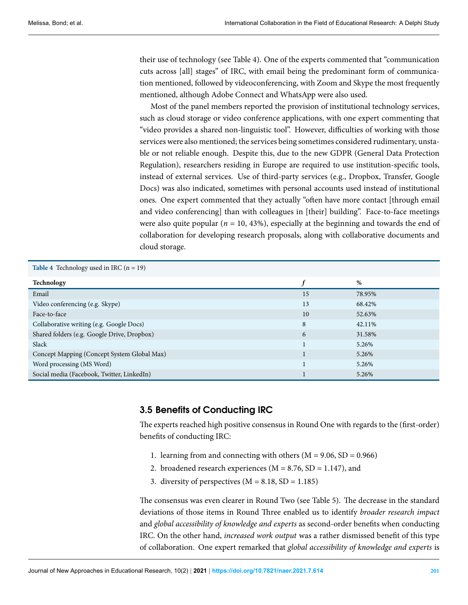their use of technology (see Table [4\)](#page-11-0). One of the experts commented that "communication cuts across [all] stages" of IRC, with email being the predominant form of communication mentioned, followed by videoconferencing, with Zoom and Skype the most frequently mentioned, although Adobe Connect and WhatsApp were also used.

Most of the panel members reported the provision of institutional technology services, such as cloud storage or video conference applications, with one expert commenting that "video provides a shared non-linguistic tool". However, difficulties of working with those services were also mentioned; the services being sometimes considered rudimentary, unstable or not reliable enough. Despite this, due to the new GDPR (General Data Protection Regulation), researchers residing in Europe are required to use institution-specific tools, instead of external services. Use of third-party services (e.g., Dropbox, Transfer, Google Docs) was also indicated, sometimes with personal accounts used instead of institutional ones. One expert commented that they actually "often have more contact [through email and video conferencing] than with colleagues in [their] building". Face-to-face meetings were also quite popular ( $n = 10, 43\%$ ), especially at the beginning and towards the end of collaboration for developing research proposals, along with collaborative documents and cloud storage.

<span id="page-11-0"></span>

| <b>Table 4</b> Technology used in IRC $(n = 19)$ |    |        |  |  |
|--------------------------------------------------|----|--------|--|--|
| Technology                                       |    | %      |  |  |
| Email                                            | 15 | 78.95% |  |  |
| Video conferencing (e.g. Skype)                  | 13 | 68.42% |  |  |
| Face-to-face                                     | 10 | 52.63% |  |  |
| Collaborative writing (e.g. Google Docs)         | 8  | 42.11% |  |  |
| Shared folders (e.g. Google Drive, Dropbox)      | 6  | 31.58% |  |  |
| Slack                                            |    | 5.26%  |  |  |
| Concept Mapping (Concept System Global Max)      |    | 5.26%  |  |  |
| Word processing (MS Word)                        |    | 5.26%  |  |  |
| Social media (Facebook, Twitter, LinkedIn)       |    | 5.26%  |  |  |

# **3.5 Benefits of Conducting IRC**

The experts reached high positive consensus in Round One with regards to the (first-order) benefits of conducting IRC:

- 1. learning from and connecting with others ( $M = 9.06$ ,  $SD = 0.966$ )
- 2. broadened research experiences ( $M = 8.76$ , SD = 1.147), and
- 3. diversity of perspectives  $(M = 8.18, SD = 1.185)$

The consensus was even clearer in Round Two (see Table [5\)](#page-12-0). The decrease in the standard deviations of those items in Round Three enabled us to identify *broader research impact* and *global accessibility of knowledge and experts* as second-order benefits when conducting IRC. On the other hand, *increased work output* was a rather dismissed benefit of this type of collaboration. One expert remarked that *global accessibility of knowledge and experts* is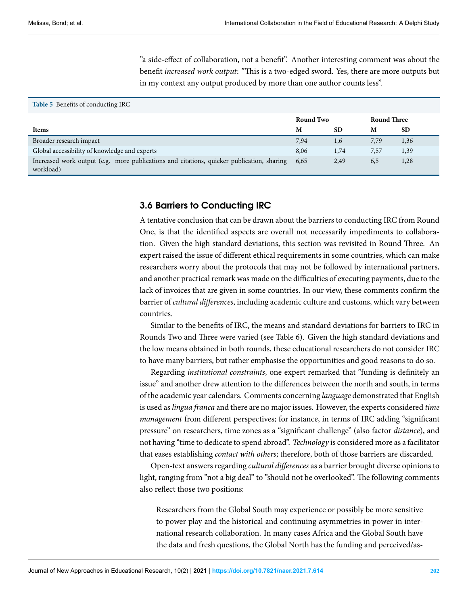<span id="page-12-0"></span>"a side-effect of collaboration, not a benefit". Another interesting comment was about the benefit *increased work output*: "This is a two-edged sword. Yes, there are more outputs but in my context any output produced by more than one author counts less".

#### **Table 5** Benefits of conducting IRC

|                                                                                                        | <b>Round Two</b> |           | <b>Round Three</b> |           |
|--------------------------------------------------------------------------------------------------------|------------------|-----------|--------------------|-----------|
| <b>Items</b>                                                                                           | M                | <b>SD</b> | M                  | <b>SD</b> |
| Broader research impact                                                                                | 7,94             | 1,6       | 7,79               | 1,36      |
| Global accessibility of knowledge and experts                                                          | 8,06             | 1,74      | 7,57               | 1,39      |
| Increased work output (e.g. more publications and citations, quicker publication, sharing<br>workload) | 6,65             | 2,49      | 6,5                | 1,28      |

# **3.6 Barriers to Conducting IRC**

A tentative conclusion that can be drawn about the barriers to conducting IRC from Round One, is that the identified aspects are overall not necessarily impediments to collaboration. Given the high standard deviations, this section was revisited in Round Three. An expert raised the issue of different ethical requirements in some countries, which can make researchers worry about the protocols that may not be followed by international partners, and another practical remark was made on the difficulties of executing payments, due to the lack of invoices that are given in some countries. In our view, these comments confirm the barrier of *cultural differences*, including academic culture and customs, which vary between countries.

Similar to the benefits of IRC, the means and standard deviations for barriers to IRC in Rounds Two and Three were varied (see Table 6). Given the high standard deviations and the low means obtained in both rounds, these educational researchers do not consider IRC to have many barriers, but rather emphasise the opportunities and good reasons to do so.

Regarding *institutional constraints*, one expert remarked that "funding is definitely an issue" and another drew attention to the differences between the north and south, in terms of the academic year calendars. Comments concerning *language* demonstrated that English is used as *lingua franca* and there are no major issues. However, the experts considered *time management* from different perspectives; for instance, in terms of IRC adding "significant pressure" on researchers, time zones as a "significant challenge" (also factor *distance*), and not having "time to dedicate to spend abroad". *Technology* is considered more as a facilitator that eases establishing *contact with others*; therefore, both of those barriers are discarded.

Open-text answers regarding *cultural differences* as a barrier brought diverse opinions to light, ranging from "not a big deal" to "should not be overlooked". The following comments also reflect those two positions:

Researchers from the Global South may experience or possibly be more sensitive to power play and the historical and continuing asymmetries in power in international research collaboration. In many cases Africa and the Global South have the data and fresh questions, the Global North has the funding and perceived/as-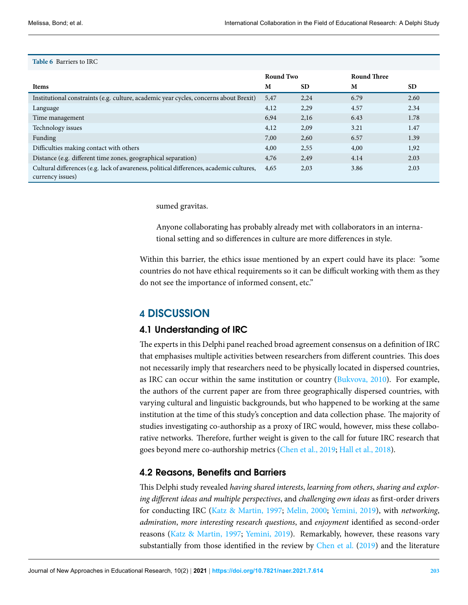#### **Table 6** Barriers to IRC

|                                                                                                             | Round Two |           | <b>Round Three</b> |           |
|-------------------------------------------------------------------------------------------------------------|-----------|-----------|--------------------|-----------|
| <b>Items</b>                                                                                                | M         | <b>SD</b> | M                  | <b>SD</b> |
| Institutional constraints (e.g. culture, academic year cycles, concerns about Brexit)                       | 5,47      | 2,24      | 6.79               | 2.60      |
| Language                                                                                                    | 4,12      | 2,29      | 4.57               | 2.34      |
| Time management                                                                                             | 6.94      | 2,16      | 6.43               | 1.78      |
| Technology issues                                                                                           | 4,12      | 2,09      | 3.21               | 1.47      |
| Funding                                                                                                     | 7,00      | 2,60      | 6.57               | 1.39      |
| Difficulties making contact with others                                                                     | 4,00      | 2,55      | 4,00               | 1,92      |
| Distance (e.g. different time zones, geographical separation)                                               | 4,76      | 2,49      | 4.14               | 2.03      |
| Cultural differences (e.g. lack of awareness, political differences, academic cultures,<br>currency issues) | 4,65      | 2,03      | 3.86               | 2.03      |

sumed gravitas.

Anyone collaborating has probably already met with collaborators in an international setting and so differences in culture are more differences in style.

Within this barrier, the ethics issue mentioned by an expert could have its place: "some countries do not have ethical requirements so it can be difficult working with them as they do not see the importance of informed consent, etc."

# **4 DISCUSSION**

# **4.1 Understanding of IRC**

The experts in this Delphi panel reached broad agreement consensus on a definition of IRC that emphasises multiple activities between researchers from different countries. This does not necessarily imply that researchers need to be physically located in dispersed countries, as IRC can occur within the same institution or country [\(Bukvova,](#page-19-4) [2010\)](#page-19-4). For example, the authors of the current paper are from three geographically dispersed countries, with varying cultural and linguistic backgrounds, but who happened to be working at the same institution at the time of this study's conception and data collection phase. The majority of studies investigating co-authorship as a proxy of IRC would, however, miss these collaborative networks. Therefore, further weight is given to the call for future IRC research that goes beyond mere co-authorship metrics([Chen et al.](#page-19-0), [2019](#page-19-0); [Hall et al.](#page-20-1), [2018](#page-20-1)).

# **4.2 Reasons, Benefits and Barriers**

This Delphi study revealed *having shared interests*, *learning from others*, *sharing and exploring different ideas and multiple perspectives*, and *challenging own ideas* as first-order drivers for conducting IRC([Katz & Martin](#page-21-8), [1997](#page-21-8); [Melin,](#page-22-6) [2000;](#page-22-6) [Yemini,](#page-23-2) [2019\)](#page-23-2), with *networking*, *admiration*, *more interesting research questions*, and *enjoyment* identified as second-order reasons [\(Katz & Martin](#page-21-8), [1997;](#page-21-8) [Yemini,](#page-23-2) [2019\)](#page-23-2). Remarkably, however, these reasons vary substantially from those identified in the review by [Chen et al.](#page-19-0) [\(2019](#page-19-0)) and the literature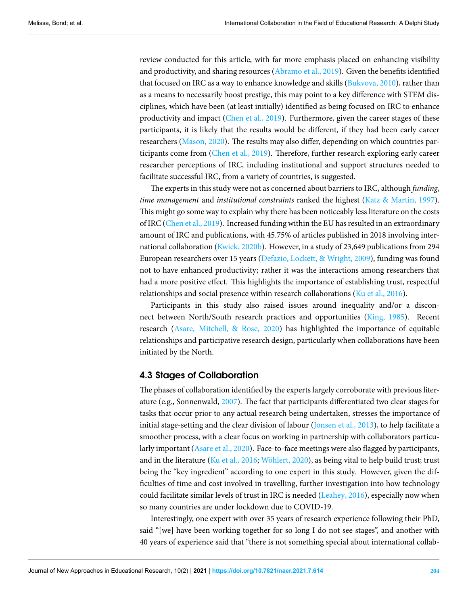review conducted for this article, with far more emphasis placed on enhancing visibility and productivity, and sharing resources([Abramo et al.,](#page-18-0) [2019](#page-18-0)). Given the benefits identified thatfocused on IRC as a way to enhance knowledge and skills ([Bukvova](#page-19-4), [2010](#page-19-4)), rather than as a means to necessarily boost prestige, this may point to a key difference with STEM disciplines, which have been (at least initially) identified as being focused on IRC to enhance productivity and impact [\(Chen et al.](#page-19-0), [2019\)](#page-19-0). Furthermore, given the career stages of these participants, it is likely that the results would be different, if they had been early career researchers [\(Mason,](#page-22-10) [2020\)](#page-22-10). The results may also differ, depending on which countries participants come from [\(Chen et al.](#page-19-0), [2019](#page-19-0)). Therefore, further research exploring early career researcher perceptions of IRC, including institutional and support structures needed to facilitate successful IRC, from a variety of countries, is suggested.

The experts in this study were not as concerned about barriers to IRC, although *funding*, *time management* and *institutional constraints* ranked the highest([Katz & Martin](#page-21-8), [1997\)](#page-21-8). This might go some way to explain why there has been noticeably less literature on the costs of IRC([Chen et al.](#page-19-0), [2019](#page-19-0)). Increased funding within the EU has resulted in an extraordinary amount of IRC and publications, with 45.75% of articles published in 2018 involving international collaboration [\(Kwiek](#page-21-12), [2020b](#page-21-12)). However, in a study of 23,649 publications from 294 European researchers over 15 years([Defazio, Lockett, & Wright,](#page-19-13) [2009\)](#page-19-13), funding was found not to have enhanced productivity; rather it was the interactions among researchers that had a more positive effect. This highlights the importance of establishing trust, respectful relationships and social presence within research collaborations([Ku et al.](#page-21-14), [2016\)](#page-21-14).

Participants in this study also raised issues around inequality and/or a disconnect between North/South research practices and opportunities [\(King](#page-21-16), [1985](#page-21-16)). Recent research([Asare, Mitchell, & Rose](#page-18-11), [2020\)](#page-18-11) has highlighted the importance of equitable relationships and participative research design, particularly when collaborations have been initiated by the North.

# **4.3 Stages of Collaboration**

The phases of collaboration identified by the experts largely corroborate with previous literature (e.g., Sonnenwald, [2007\)](#page-23-12). The fact that participants differentiated two clear stages for tasks that occur prior to any actual research being undertaken, stresses the importance of initial stage-setting and the clear division of labour([Jonsen et al.](#page-20-11), [2013](#page-20-11)), to help facilitate a smoother process, with a clear focus on working in partnership with collaborators particularly important [\(Asare et al.,](#page-18-11) [2020\)](#page-18-11). Face-to-face meetings were also flagged by participants, and in the literature [\(Ku et al.,](#page-21-14) [2016;](#page-21-14) [Wöhlert](#page-23-1), [2020](#page-23-1)), as being vital to help build trust; trust being the "key ingredient" according to one expert in this study. However, given the difficulties of time and cost involved in travelling, further investigation into how technology could facilitate similar levels of trust in IRC is needed [\(Leahey](#page-21-7), [2016](#page-21-7)), especially now when so many countries are under lockdown due to COVID-19.

Interestingly, one expert with over 35 years of research experience following their PhD, said "[we] have been working together for so long I do not see stages", and another with 40 years of experience said that "there is not something special about international collab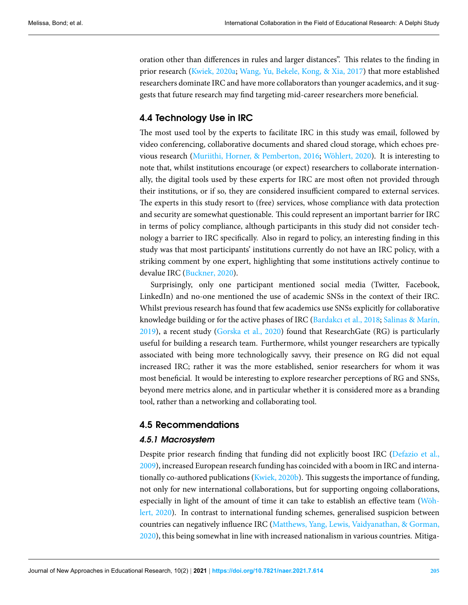oration other than differences in rules and larger distances". This relates to the finding in prior research([Kwiek](#page-21-11), [2020a](#page-21-11); [Wang, Yu, Bekele, Kong, & Xia](#page-23-13), [2017](#page-23-13)) that more established researchers dominate IRC and have more collaborators than younger academics, and it suggests that future research may find targeting mid-career researchers more beneficial.

# **4.4 Technology Use in IRC**

The most used tool by the experts to facilitate IRC in this study was email, followed by video conferencing, collaborative documents and shared cloud storage, which echoes previous research [\(Muriithi, Horner, & Pemberton](#page-22-14), [2016;](#page-22-14) [Wöhlert](#page-23-1), [2020\)](#page-23-1). It is interesting to note that, whilst institutions encourage (or expect) researchers to collaborate internationally, the digital tools used by these experts for IRC are most often not provided through their institutions, or if so, they are considered insufficient compared to external services. The experts in this study resort to (free) services, whose compliance with data protection and security are somewhat questionable. This could represent an important barrier for IRC in terms of policy compliance, although participants in this study did not consider technology a barrier to IRC specifically. Also in regard to policy, an interesting finding in this study was that most participants' institutions currently do not have an IRC policy, with a striking comment by one expert, highlighting that some institutions actively continue to devalue IRC([Buckner](#page-19-14), [2020](#page-19-14)).

Surprisingly, only one participant mentioned social media (Twitter, Facebook, LinkedIn) and no-one mentioned the use of academic SNSs in the context of their IRC. Whilst previous research has found that few academics use SNSs explicitly for collaborative knowledge building or for the active phases of IRC([Bardakcı et al.](#page-18-1), [2018](#page-18-1); [Salinas & Marín,](#page-22-11) [2019\)](#page-22-11), a recent study([Gorska et al.,](#page-20-7) [2020\)](#page-20-7) found that ResearchGate (RG) is particularly useful for building a research team. Furthermore, whilst younger researchers are typically associated with being more technologically savvy, their presence on RG did not equal increased IRC; rather it was the more established, senior researchers for whom it was most beneficial. It would be interesting to explore researcher perceptions of RG and SNSs, beyond mere metrics alone, and in particular whether it is considered more as a branding tool, rather than a networking and collaborating tool.

# **4.5 Recommendations**

### *4.5.1 Macrosystem*

Despite prior research finding that funding did not explicitly boost IRC [\(Defazio et al.,](#page-19-13) [2009\)](#page-19-13), increased European research funding has coincided with a boom in IRC and internationally co-authored publications([Kwiek,](#page-21-12) [2020b\)](#page-21-12). This suggests the importance of funding, not only for new international collaborations, but for supporting ongoing collaborations, especially in light of the amount of time it can take to establish an effective team [\(Wöh](#page-23-1)[lert,](#page-23-1) [2020\)](#page-23-1). In contrast to international funding schemes, generalised suspicion between countries can negatively influence IRC [\(Matthews, Yang, Lewis, Vaidyanathan, & Gorman,](#page-22-15) [2020\)](#page-22-15), this being somewhat in line with increased nationalism in various countries. Mitiga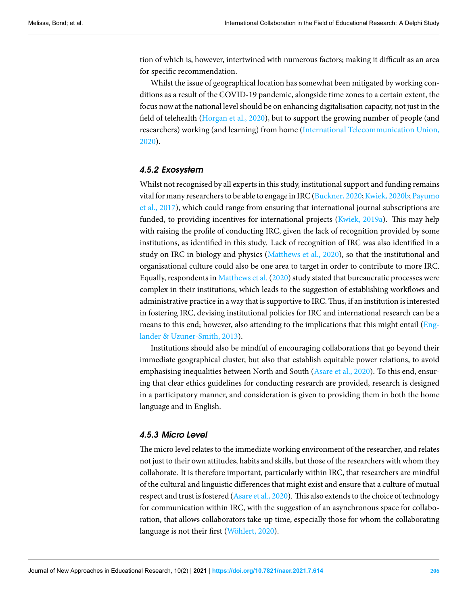tion of which is, however, intertwined with numerous factors; making it difficult as an area for specific recommendation.

Whilst the issue of geographical location has somewhat been mitigated by working conditions as a result of the COVID-19 pandemic, alongside time zones to a certain extent, the focus now at the national level should be on enhancing digitalisation capacity, not just in the field of telehealth [\(Horgan et al.,](#page-20-13) [2020\)](#page-20-13), but to support the growing number of people (and researchers) working (and learning) from home([International Telecommunication Union,](#page-20-14) [2020\)](#page-20-14).

### *4.5.2 Exosystem*

Whilst not recognised by all experts in this study, institutional support and funding remains vitalfor many researchers to be able to engage in IRC ([Buckner](#page-19-14), [2020;](#page-19-14) [Kwiek,](#page-21-12) [2020b](#page-21-12); [Payumo](#page-22-16) [et al.,](#page-22-16) [2017\)](#page-22-16), which could range from ensuring that international journal subscriptions are funded, to providing incentives for international projects [\(Kwiek](#page-21-17), [2019a\)](#page-21-17). This may help with raising the profile of conducting IRC, given the lack of recognition provided by some institutions, as identified in this study. Lack of recognition of IRC was also identified in a study on IRC in biology and physics [\(Matthews et al.](#page-22-15), [2020](#page-22-15)), so that the institutional and organisational culture could also be one area to target in order to contribute to more IRC. Equally, respondents in [Matthews et al.](#page-22-15) [\(2020\)](#page-22-15) study stated that bureaucratic processes were complex in their institutions, which leads to the suggestion of establishing workflows and administrative practice in a way that is supportive to IRC.Thus, if an institution is interested in fostering IRC, devising institutional policies for IRC and international research can be a means to this end; however, also attending to the implications that this might entail [\(Eng](#page-19-15)[lander & Uzuner-Smith,](#page-19-15) [2013](#page-19-15)).

Institutions should also be mindful of encouraging collaborations that go beyond their immediate geographical cluster, but also that establish equitable power relations, to avoid emphasising inequalities between North and South([Asare et al.](#page-18-11), [2020](#page-18-11)). To this end, ensuring that clear ethics guidelines for conducting research are provided, research is designed in a participatory manner, and consideration is given to providing them in both the home language and in English.

# *4.5.3 Micro Level*

The micro level relates to the immediate working environment of the researcher, and relates not just to their own attitudes, habits and skills, but those of the researchers with whom they collaborate. It is therefore important, particularly within IRC, that researchers are mindful of the cultural and linguistic differences that might exist and ensure that a culture of mutual respect and trust is fostered [\(Asare et al.](#page-18-11), [2020\)](#page-18-11). This also extends to the choice of technology for communication within IRC, with the suggestion of an asynchronous space for collaboration, that allows collaborators take-up time, especially those for whom the collaborating language is not their first [\(Wöhlert,](#page-23-1) [2020\)](#page-23-1).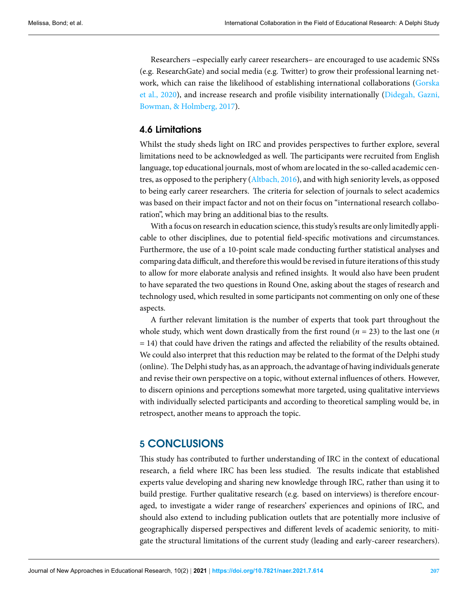Researchers –especially early career researchers– are encouraged to use academic SNSs (e.g. ResearchGate) and social media (e.g. Twitter) to grow their professional learning network, which can raise the likelihood of establishing international collaborations([Gorska](#page-20-7) [et al.](#page-20-7), [2020](#page-20-7)), and increase research and profile visibility internationally [\(Didegah, Gazni,](#page-19-16) [Bowman, & Holmberg,](#page-19-16) [2017\)](#page-19-16).

# **4.6 Limitations**

Whilst the study sheds light on IRC and provides perspectives to further explore, several limitations need to be acknowledged as well. The participants were recruited from English language, top educational journals, most of whom are located in the so-called academic centres, as opposed to the periphery([Altbach,](#page-18-12) [2016](#page-18-12)), and with high seniority levels, as opposed to being early career researchers. The criteria for selection of journals to select academics was based on their impact factor and not on their focus on "international research collaboration", which may bring an additional bias to the results.

With a focus on research in education science, this study's results are only limitedly applicable to other disciplines, due to potential field-specific motivations and circumstances. Furthermore, the use of a 10-point scale made conducting further statistical analyses and comparing data difficult, and therefore this would be revised in future iterations of this study to allow for more elaborate analysis and refined insights. It would also have been prudent to have separated the two questions in Round One, asking about the stages of research and technology used, which resulted in some participants not commenting on only one of these aspects.

A further relevant limitation is the number of experts that took part throughout the whole study, which went down drastically from the first round ( $n = 23$ ) to the last one ( $n$ = 14) that could have driven the ratings and affected the reliability of the results obtained. We could also interpret that this reduction may be related to the format of the Delphi study (online). The Delphi study has, as an approach, the advantage of having individuals generate and revise their own perspective on a topic, without external influences of others. However, to discern opinions and perceptions somewhat more targeted, using qualitative interviews with individually selected participants and according to theoretical sampling would be, in retrospect, another means to approach the topic.

# **5 CONCLUSIONS**

This study has contributed to further understanding of IRC in the context of educational research, a field where IRC has been less studied. The results indicate that established experts value developing and sharing new knowledge through IRC, rather than using it to build prestige. Further qualitative research (e.g. based on interviews) is therefore encouraged, to investigate a wider range of researchers' experiences and opinions of IRC, and should also extend to including publication outlets that are potentially more inclusive of geographically dispersed perspectives and different levels of academic seniority, to mitigate the structural limitations of the current study (leading and early-career researchers).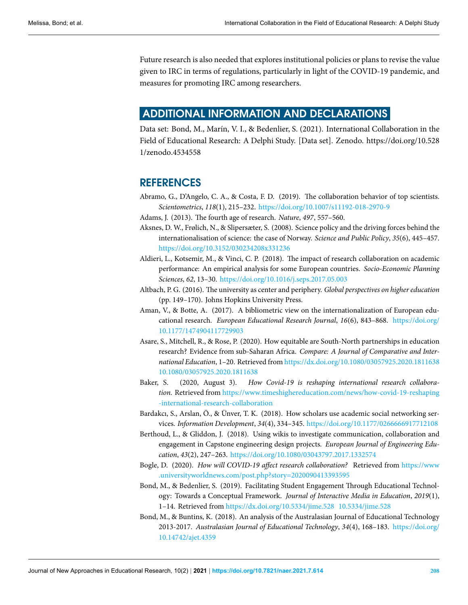Future research is also needed that explores institutional policies or plans to revise the value given to IRC in terms of regulations, particularly in light of the COVID-19 pandemic, and measures for promoting IRC among researchers.

# **ADDITIONAL INFORMATION AND DECLARATIONS**

Data set: Bond, M., Marín, V. I., & Bedenlier, S. (2021). International Collaboration in the Field of Educational Research: A Delphi Study. [Data set]. Zenodo. https://doi.org/10.528 1/zenodo.4534558

# **REFERENCES**

- <span id="page-18-0"></span>Abramo, G., D'Angelo, C. A., & Costa, F. D. (2019). The collaboration behavior of top scientists. *Scientometrics*, *118*(1), 215–232. <https://doi.org/10.1007/s11192-018-2970-9>
- <span id="page-18-6"></span>Adams, J. (2013). The fourth age of research. *Nature*, *497*, 557–560.
- <span id="page-18-7"></span>Aksnes, D. W., Frølich, N., & Slipersæter, S. (2008). Science policy and the driving forces behind the internationalisation of science: the case of Norway. *Science and Public Policy*, *35*(6), 445–457. <https://doi.org/10.3152/030234208x331236>
- <span id="page-18-8"></span>Aldieri, L., Kotsemir, M., & Vinci, C. P. (2018). The impact of research collaboration on academic performance: An empirical analysis for some European countries. *Socio-Economic Planning Sciences*, *62*, 13–30. <https://doi.org/10.1016/j.seps.2017.05.003>
- <span id="page-18-12"></span>Altbach, P. G. (2016). The university as center and periphery. *Global perspectives on higher education* (pp. 149–170). Johns Hopkins University Press.
- <span id="page-18-3"></span>Aman, V., & Botte, A. (2017). A bibliometric view on the internationalization of European educational research. *European Educational Research Journal*, *16*(6), 843–868. [https://doi.org/](https://doi.org/10.1177/1474904117729903) [10.1177/1474904117729903](https://doi.org/10.1177/1474904117729903)
- <span id="page-18-11"></span>Asare, S., Mitchell, R., & Rose, P. (2020). How equitable are South-North partnerships in education research? Evidence from sub-Saharan Africa. *Compare: A Journal of Comparative and International Education*, 1–20. Retrieved from <https://dx.doi.org/10.1080/03057925.2020.1811638> <10.1080/03057925.2020.1811638>
- <span id="page-18-5"></span>Baker, S. (2020, August 3). *How Covid-19 is reshaping international research collaboration.* Retrieved from [https://www.timeshighereducation.com/news/how-covid-19-reshaping](https://www.timeshighereducation.com/news/how-covid-19-reshaping-international-research-collaboration) [-international-research-collaboration](https://www.timeshighereducation.com/news/how-covid-19-reshaping-international-research-collaboration)
- <span id="page-18-1"></span>Bardakcı, S., Arslan, Ö., & Ünver, T. K. (2018). How scholars use academic social networking services. *Information Development*, *34*(4), 334–345. <https://doi.org/10.1177/0266666917712108>
- <span id="page-18-10"></span>Berthoud, L., & Gliddon, J. (2018). Using wikis to investigate communication, collaboration and engagement in Capstone engineering design projects. *European Journal of Engineering Education*, *43*(2), 247–263. <https://doi.org/10.1080/03043797.2017.1332574>
- <span id="page-18-4"></span>Bogle, D. (2020). *How will COVID-19 affect research collaboration?* Retrieved from [https://www](https://www.universityworldnews.com/post.php?story=2020090413393595) [.universityworldnews.com/post.php?story=2020090413393595](https://www.universityworldnews.com/post.php?story=2020090413393595)
- <span id="page-18-9"></span>Bond, M., & Bedenlier, S. (2019). Facilitating Student Engagement Through Educational Technology: Towards a Conceptual Framework. *Journal of Interactive Media in Education*, *2019*(1), 1–14. Retrieved from <https://dx.doi.org/10.5334/jime.528> <10.5334/jime.528>
- <span id="page-18-2"></span>Bond, M., & Buntins, K. (2018). An analysis of the Australasian Journal of Educational Technology 2013-2017. *Australasian Journal of Educational Technology*, *34*(4), 168–183. [https://doi.org/](https://doi.org/10.14742/ajet.4359) [10.14742/ajet.4359](https://doi.org/10.14742/ajet.4359)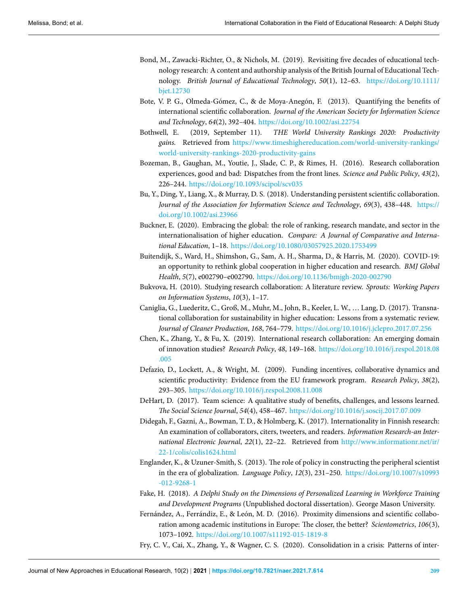- <span id="page-19-3"></span>Bond, M., Zawacki-Richter, O., & Nichols, M. (2019). Revisiting five decades of educational technology research: A content and authorship analysis of the British Journal of Educational Technology. *British Journal of Educational Technology*, *50*(1), 12–63. [https://doi.org/10.1111/](https://doi.org/10.1111/bjet.12730) [bjet.12730](https://doi.org/10.1111/bjet.12730)
- <span id="page-19-10"></span>Bote, V. P. G., Olmeda-Gómez, C., & de Moya-Anegón, F. (2013). Quantifying the benefits of international scientific collaboration. *Journal of the American Society for Information Science and Technology*, *64*(2), 392–404. <https://doi.org/10.1002/asi.22754>
- <span id="page-19-11"></span>Bothwell, E. (2019, September 11). *THE World University Rankings 2020: Productivity gains.* Retrieved from [https://www.timeshighereducation.com/world-university-rankings/](https://www.timeshighereducation.com/world-university-rankings/world-university-rankings-2020-productivity-gains) [world-university-rankings-2020-productivity-gains](https://www.timeshighereducation.com/world-university-rankings/world-university-rankings-2020-productivity-gains)
- <span id="page-19-9"></span>Bozeman, B., Gaughan, M., Youtie, J., Slade, C. P., & Rimes, H. (2016). Research collaboration experiences, good and bad: Dispatches from the front lines. *Science and Public Policy*, *43*(2), 226–244. <https://doi.org/10.1093/scipol/scv035>
- <span id="page-19-1"></span>Bu, Y., Ding, Y., Liang, X., & Murray, D. S. (2018). Understanding persistent scientific collaboration. *Journal of the Association for Information Science and Technology*, *69*(3), 438–448. [https://](https://doi.org/10.1002/asi.23966) [doi.org/10.1002/asi.23966](https://doi.org/10.1002/asi.23966)
- <span id="page-19-14"></span>Buckner, E. (2020). Embracing the global: the role of ranking, research mandate, and sector in the internationalisation of higher education. *Compare: A Journal of Comparative and International Education*, 1–18. <https://doi.org/10.1080/03057925.2020.1753499>
- <span id="page-19-5"></span>Buitendijk, S., Ward, H., Shimshon, G., Sam, A. H., Sharma, D., & Harris, M. (2020). COVID-19: an opportunity to rethink global cooperation in higher education and research. *BMJ Global Health*, *5*(7), e002790–e002790. <https://doi.org/10.1136/bmjgh-2020-002790>
- <span id="page-19-4"></span>Bukvova, H. (2010). Studying research collaboration: A literature review. *Sprouts: Working Papers on Information Systems*, *10*(3), 1–17.
- <span id="page-19-8"></span>Caniglia, G., Luederitz, C., Groß, M., Muhr, M., John, B., Keeler, L. W., … Lang, D. (2017). Transnational collaboration for sustainability in higher education: Lessons from a systematic review. *Journal of Cleaner Production*, *168*, 764–779. <https://doi.org/10.1016/j.jclepro.2017.07.256>
- <span id="page-19-0"></span>Chen, K., Zhang, Y., & Fu, X. (2019). International research collaboration: An emerging domain of innovation studies? *Research Policy*, *48*, 149–168. [https://doi.org/10.1016/j.respol.2018.08](https://doi.org/10.1016/j.respol.2018.08.005) [.005](https://doi.org/10.1016/j.respol.2018.08.005)
- <span id="page-19-13"></span>Defazio, D., Lockett, A., & Wright, M. (2009). Funding incentives, collaborative dynamics and scientific productivity: Evidence from the EU framework program. *Research Policy*, *38*(2), 293–305. <https://doi.org/10.1016/j.respol.2008.11.008>
- <span id="page-19-2"></span>DeHart, D. (2017). Team science: A qualitative study of benefits, challenges, and lessons learned. *The Social Science Journal*, *54*(4), 458–467. <https://doi.org/10.1016/j.soscij.2017.07.009>
- <span id="page-19-16"></span>Didegah, F., Gazni, A., Bowman, T. D., & Holmberg, K. (2017). Internationality in Finnish research: An examination of collaborators, citers, tweeters, and readers. *Information Research-an International Electronic Journal*, *22*(1), 22–22. Retrieved from [http://www.informationr.net/ir/](http://www.informationr.net/ir/22-1/colis/colis1624.html) [22-1/colis/colis1624.html](http://www.informationr.net/ir/22-1/colis/colis1624.html)
- <span id="page-19-15"></span>Englander, K., & Uzuner-Smith, S. (2013). The role of policy in constructing the peripheral scientist in the era of globalization. *Language Policy*, *12*(3), 231–250. [https://doi.org/10.1007/s10993](https://doi.org/10.1007/s10993-012-9268-1) [-012-9268-1](https://doi.org/10.1007/s10993-012-9268-1)
- <span id="page-19-12"></span>Fake, H. (2018). *A Delphi Study on the Dimensions of Personalized Learning in Workforce Training and Development Programs* (Unpublished doctoral dissertation). George Mason University.
- <span id="page-19-7"></span>Fernández, A., Ferrándiz, E., & León, M. D. (2016). Proximity dimensions and scientific collaboration among academic institutions in Europe: The closer, the better? *Scientometrics*, *106*(3), 1073–1092. <https://doi.org/10.1007/s11192-015-1819-8>
- <span id="page-19-6"></span>Fry, C. V., Cai, X., Zhang, Y., & Wagner, C. S. (2020). Consolidation in a crisis: Patterns of inter-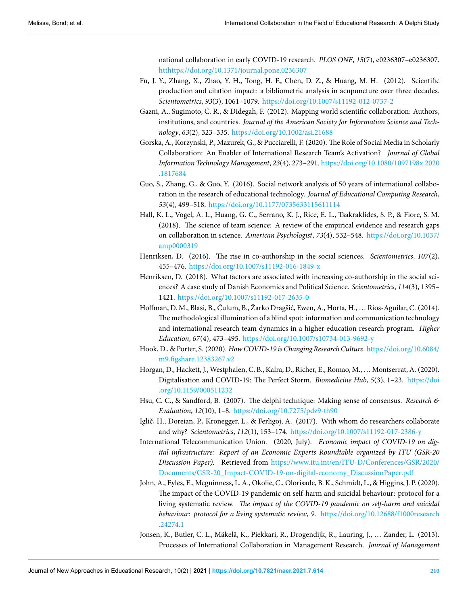national collaboration in early COVID-19 research. *PLOS ONE*, *15*(7), e0236307–e0236307. <htthttps://doi.org/10.1371/journal.pone.0236307>

- <span id="page-20-8"></span>Fu, J. Y., Zhang, X., Zhao, Y. H., Tong, H. F., Chen, D. Z., & Huang, M. H. (2012). Scientific production and citation impact: a bibliometric analysis in acupuncture over three decades. *Scientometrics*, *93*(3), 1061–1079. <https://doi.org/10.1007/s11192-012-0737-2>
- <span id="page-20-0"></span>Gazni, A., Sugimoto, C. R., & Didegah, F. (2012). Mapping world scientific collaboration: Authors, institutions, and countries. *Journal of the American Society for Information Science and Technology*, *63*(2), 323–335. <https://doi.org/10.1002/asi.21688>
- <span id="page-20-7"></span>Gorska, A., Korzynski, P., Mazurek, G., & Pucciarelli, F. (2020). The Role of Social Media in Scholarly Collaboration: An Enabler of International Research Team's Activation? *Journal of Global Information Technology Management*, *23*(4), 273–291. [https://doi.org/10.1080/1097198x.2020](https://doi.org/10.1080/1097198x.2020.1817684) [.1817684](https://doi.org/10.1080/1097198x.2020.1817684)
- <span id="page-20-5"></span>Guo, S., Zhang, G., & Guo, Y. (2016). Social network analysis of 50 years of international collaboration in the research of educational technology. *Journal of Educational Computing Research*, *53*(4), 499–518. <https://doi.org/10.1177/0735633115611114>
- <span id="page-20-1"></span>Hall, K. L., Vogel, A. L., Huang, G. C., Serrano, K. J., Rice, E. L., Tsakraklides, S. P., & Fiore, S. M. (2018). The science of team science: A review of the empirical evidence and research gaps on collaboration in science. *American Psychologist*, *73*(4), 532–548. [https://doi.org/10.1037/](https://doi.org/10.1037/amp0000319) [amp0000319](https://doi.org/10.1037/amp0000319)
- <span id="page-20-3"></span>Henriksen, D. (2016). The rise in co-authorship in the social sciences. *Scientometrics*, *107*(2), 455–476. <https://doi.org/10.1007/s11192-016-1849-x>
- <span id="page-20-2"></span>Henriksen, D. (2018). What factors are associated with increasing co-authorship in the social sciences? A case study of Danish Economics and Political Science. *Scientometrics*, *114*(3), 1395– 1421. <https://doi.org/10.1007/s11192-017-2635-0>
- <span id="page-20-10"></span>Hoffman, D. M., Blasi, B., Ćulum, B., Žarko Dragšić, Ewen, A., Horta, H., … Rios-Aguilar, C. (2014). The methodological illumination of a blind spot: information and communication technology and international research team dynamics in a higher education research program. *Higher Education*, *67*(4), 473–495. <https://doi.org/10.1007/s10734-013-9692-y>
- <span id="page-20-6"></span>Hook, D., & Porter, S. (2020). *How COVID-19 is Changing Research Culture*. [https://doi.org/10.6084/](https://doi.org/10.6084/m9.figshare.12383267.v2) [m9.figshare.12383267.v2](https://doi.org/10.6084/m9.figshare.12383267.v2)
- <span id="page-20-13"></span>Horgan, D., Hackett, J., Westphalen, C. B., Kalra, D., Richer, E., Romao, M., … Montserrat, A. (2020). Digitalisation and COVID-19: The Perfect Storm. *Biomedicine Hub*, *5*(3), 1–23. [https://doi](https://doi.org/10.1159/000511232) [.org/10.1159/000511232](https://doi.org/10.1159/000511232)
- <span id="page-20-12"></span>Hsu, C. C., & Sandford, B. (2007). The delphi technique: Making sense of consensus. *Research & Evaluation*, *12*(10), 1–8. <https://doi.org/10.7275/pdz9-th90>
- <span id="page-20-4"></span>Iglič, H., Doreian, P., Kronegger, L., & Ferligoj, A. (2017). With whom do researchers collaborate and why? *Scientometrics*, *112*(1), 153–174. <https://doi.org/10.1007/s11192-017-2386-y>
- <span id="page-20-14"></span>International Telecommunication Union. (2020, July). *Economic impact of COVID-19 on digital infrastructure: Report of an Economic Experts Roundtable organized by ITU (GSR-20 Discussion Paper).* Retrieved from [https://www.itu.int/en/ITU-D/Conferences/GSR/2020/](https://www.itu.int/en/ITU-D/Conferences/GSR/2020/Documents/GSR-20_Impact-COVID-19-on-digital-economy_DiscussionPaper.pdf) [Documents/GSR-20\\_Impact-COVID-19-on-digital-economy\\_DiscussionPaper.pdf](https://www.itu.int/en/ITU-D/Conferences/GSR/2020/Documents/GSR-20_Impact-COVID-19-on-digital-economy_DiscussionPaper.pdf)
- <span id="page-20-9"></span>John, A., Eyles, E., Mcguinness, L. A., Okolie, C., Olorisade, B. K., Schmidt, L., & Higgins, J. P. (2020). The impact of the COVID-19 pandemic on self-harm and suicidal behaviour: protocol for a living systematic review. *The impact of the COVID-19 pandemic on self-harm and suicidal behaviour: protocol for a living systematic review*, *9*. [https://doi.org/10.12688/f1000research](https://doi.org/10.12688/f1000research.24274.1) [.24274.1](https://doi.org/10.12688/f1000research.24274.1)
- <span id="page-20-11"></span>Jonsen, K., Butler, C. L., Mäkelä, K., Piekkari, R., Drogendijk, R., Lauring, J., … Zander, L. (2013). Processes of International Collaboration in Management Research. *Journal of Management*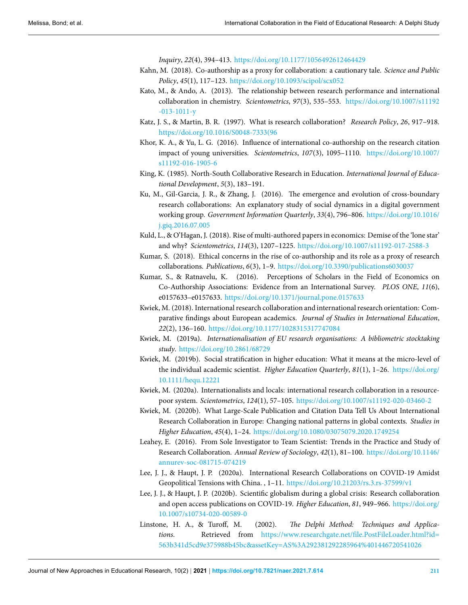*Inquiry*, *22*(4), 394–413. <https://doi.org/10.1177/1056492612464429>

- <span id="page-21-3"></span>Kahn, M. (2018). Co-authorship as a proxy for collaboration: a cautionary tale. *Science and Public Policy*, *45*(1), 117–123. <https://doi.org/10.1093/scipol/scx052>
- <span id="page-21-9"></span>Kato, M., & Ando, A. (2013). The relationship between research performance and international collaboration in chemistry. *Scientometrics*, *97*(3), 535–553. [https://doi.org/10.1007/s11192](https://doi.org/10.1007/s11192-013-1011-y) [-013-1011-y](https://doi.org/10.1007/s11192-013-1011-y)
- <span id="page-21-8"></span>Katz, J. S., & Martin, B. R. (1997). What is research collaboration? *Research Policy*, *26*, 917–918. [https://doi.org/10.1016/S0048-7333\(96](https://doi.org/10.1016/S0048-7333(96)
- <span id="page-21-6"></span>Khor, K. A., & Yu, L. G. (2016). Influence of international co-authorship on the research citation impact of young universities. *Scientometrics*, *107*(3), 1095–1110. [https://doi.org/10.1007/](https://doi.org/10.1007/s11192-016-1905-6) [s11192-016-1905-6](https://doi.org/10.1007/s11192-016-1905-6)
- <span id="page-21-16"></span>King, K. (1985). North-South Collaborative Research in Education. *International Journal of Educational Development*, *5*(3), 183–191.
- <span id="page-21-14"></span>Ku, M., Gil-Garcia, J. R., & Zhang, J. (2016). The emergence and evolution of cross-boundary research collaborations: An explanatory study of social dynamics in a digital government working group. *Government Information Quarterly*, *33*(4), 796–806. [https://doi.org/10.1016/](https://doi.org/10.1016/j.giq.2016.07.005) [j.giq.2016.07.005](https://doi.org/10.1016/j.giq.2016.07.005)
- <span id="page-21-10"></span>Kuld, L., & O'Hagan, J. (2018). Rise of multi-authored papers in economics: Demise of the 'lone star' and why? *Scientometrics*, *114*(3), 1207–1225. <https://doi.org/10.1007/s11192-017-2588-3>
- <span id="page-21-13"></span>Kumar, S. (2018). Ethical concerns in the rise of co-authorship and its role as a proxy of research collaborations. *Publications*, *6*(3), 1–9. <https://doi.org/10.3390/publications6030037>
- <span id="page-21-2"></span>Kumar, S., & Ratnavelu, K. (2016). Perceptions of Scholars in the Field of Economics on Co-Authorship Associations: Evidence from an International Survey. *PLOS ONE*, *11*(6), e0157633–e0157633. <https://doi.org/10.1371/journal.pone.0157633>
- <span id="page-21-4"></span>Kwiek, M. (2018). International research collaboration and international research orientation: Comparative findings about European academics. *Journal of Studies in International Education*, *22*(2), 136–160. <https://doi.org/10.1177/1028315317747084>
- <span id="page-21-17"></span>Kwiek, M. (2019a). *Internationalisation of EU research organisations: A bibliometric stocktaking study*. <https://doi.org/10.2861/68729>
- <span id="page-21-5"></span>Kwiek, M. (2019b). Social stratification in higher education: What it means at the micro-level of the individual academic scientist. *Higher Education Quarterly*, *81*(1), 1–26. [https://doi.org/](https://doi.org/10.1111/hequ.12221) [10.1111/hequ.12221](https://doi.org/10.1111/hequ.12221)
- <span id="page-21-11"></span>Kwiek, M. (2020a). Internationalists and locals: international research collaboration in a resourcepoor system. *Scientometrics*, *124*(1), 57–105. <https://doi.org/10.1007/s11192-020-03460-2>
- <span id="page-21-12"></span>Kwiek, M. (2020b). What Large-Scale Publication and Citation Data Tell Us About International Research Collaboration in Europe: Changing national patterns in global contexts. *Studies in Higher Education*, *45*(4), 1–24. <https://doi.org/10.1080/03075079.2020.1749254>
- <span id="page-21-7"></span>Leahey, E. (2016). From Sole Investigator to Team Scientist: Trends in the Practice and Study of Research Collaboration. *Annual Review of Sociology*, *42*(1), 81–100. [https://doi.org/10.1146/](https://doi.org/10.1146/annurev-soc-081715-074219) [annurev-soc-081715-074219](https://doi.org/10.1146/annurev-soc-081715-074219)
- <span id="page-21-1"></span>Lee, J. J., & Haupt, J. P. (2020a). International Research Collaborations on COVID-19 Amidst Geopolitical Tensions with China. , 1–11. <https://doi.org/10.21203/rs.3.rs-37599/v1>
- <span id="page-21-0"></span>Lee, J. J., & Haupt, J. P. (2020b). Scientific globalism during a global crisis: Research collaboration and open access publications on COVID-19. *Higher Education*, *81*, 949–966. [https://doi.org/](https://doi.org/10.1007/s10734-020-00589-0) [10.1007/s10734-020-00589-0](https://doi.org/10.1007/s10734-020-00589-0)
- <span id="page-21-15"></span>Linstone, H. A., & Turoff, M. (2002). *The Delphi Method: Techniques and Applications*. Retrieved from [https://www.researchgate.net/file.PostFileLoader.html?id=](https://www.researchgate.net/file.PostFileLoader.html?id=563b341d5cd9e375988b45bc&assetKey=AS%3A292381292285964%401446720541026) [563b341d5cd9e375988b45bc&assetKey=AS%3A292381292285964%401446720541026](https://www.researchgate.net/file.PostFileLoader.html?id=563b341d5cd9e375988b45bc&assetKey=AS%3A292381292285964%401446720541026)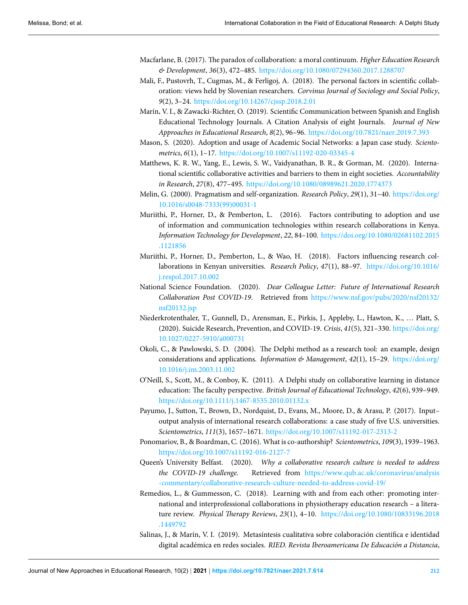- <span id="page-22-0"></span>Macfarlane, B. (2017). The paradox of collaboration: a moral continuum. *Higher Education Research & Development*, *36*(3), 472–485. <https://doi.org/10.1080/07294360.2017.1288707>
- <span id="page-22-7"></span>Mali, F., Pustovrh, T., Cugmas, M., & Ferligoj, A. (2018). The personal factors in scientific collaboration: views held by Slovenian researchers. *Corvinus Journal of Sociology and Social Policy*, *9*(2), 3–24. <https://doi.org/10.14267/cjssp.2018.2.01>
- <span id="page-22-3"></span>Marín, V. I., & Zawacki-Richter, O. (2019). Scientific Communication between Spanish and English Educational Technology Journals. A Citation Analysis of eight Journals. *Journal of New Approaches in Educational Research*, *8*(2), 96–96. <https://doi.org/10.7821/naer.2019.7.393>
- <span id="page-22-10"></span>Mason, S. (2020). Adoption and usage of Academic Social Networks: a Japan case study. *Scientometrics*, *6*(1), 1–17. <https://doi.org/10.1007/s11192-020-03345-4>
- <span id="page-22-15"></span>Matthews, K. R. W., Yang, E., Lewis, S. W., Vaidyanathan, B. R., & Gorman, M. (2020). International scientific collaborative activities and barriers to them in eight societies. *Accountability in Research*, *27*(8), 477–495. <https://doi.org/10.1080/08989621.2020.1774373>
- <span id="page-22-6"></span>Melin, G. (2000). Pragmatism and self-organization. *Research Policy*, *29*(1), 31–40. [https://doi.org/](https://doi.org/10.1016/s0048-7333(99)00031-1) [10.1016/s0048-7333\(99\)00031-1](https://doi.org/10.1016/s0048-7333(99)00031-1)
- <span id="page-22-14"></span>Muriithi, P., Horner, D., & Pemberton, L. (2016). Factors contributing to adoption and use of information and communication technologies within research collaborations in Kenya. *Information Technology for Development*, *22*, 84–100. [https://doi.org/10.1080/02681102.2015](https://doi.org/10.1080/02681102.2015.1121856) [.1121856](https://doi.org/10.1080/02681102.2015.1121856)
- <span id="page-22-9"></span>Muriithi, P., Horner, D., Pemberton, L., & Wao, H. (2018). Factors influencing research collaborations in Kenyan universities. *Research Policy*, *47*(1), 88–97. [https://doi.org/10.1016/](https://doi.org/10.1016/j.respol.2017.10.002) [j.respol.2017.10.002](https://doi.org/10.1016/j.respol.2017.10.002)
- <span id="page-22-4"></span>National Science Foundation. (2020). *Dear Colleague Letter: Future of International Research Collaboration Post COVID-19*. Retrieved from [https://www.nsf.gov/pubs/2020/nsf20132/](https://www.nsf.gov/pubs/2020/nsf20132/nsf20132.jsp) [nsf20132.jsp](https://www.nsf.gov/pubs/2020/nsf20132/nsf20132.jsp)
- <span id="page-22-5"></span>Niederkrotenthaler, T., Gunnell, D., Arensman, E., Pirkis, J., Appleby, L., Hawton, K., … Platt, S. (2020). Suicide Research, Prevention, and COVID-19. *Crisis*, *41*(5), 321–330. [https://doi.org/](https://doi.org/10.1027/0227-5910/a000731) [10.1027/0227-5910/a000731](https://doi.org/10.1027/0227-5910/a000731)
- <span id="page-22-12"></span>Okoli, C., & Pawlowski, S. D. (2004). The Delphi method as a research tool: an example, design considerations and applications. *Information & Management*, *42*(1), 15–29. [https://doi.org/](https://doi.org/10.1016/j.im.2003.11.002) [10.1016/j.im.2003.11.002](https://doi.org/10.1016/j.im.2003.11.002)
- <span id="page-22-13"></span>O'Neill, S., Scott, M., & Conboy, K. (2011). A Delphi study on collaborative learning in distance education: The faculty perspective. *British Journal of Educational Technology*, *42*(6), 939–949. <https://doi.org/10.1111/j.1467-8535.2010.01132.x>
- <span id="page-22-16"></span>Payumo, J., Sutton, T., Brown, D., Nordquist, D., Evans, M., Moore, D., & Arasu, P. (2017). Input– output analysis of international research collaborations: a case study of five U.S. universities. *Scientometrics*, *111*(3), 1657–1671. <https://doi.org/10.1007/s11192-017-2313-2>
- <span id="page-22-2"></span>Ponomariov, B., & Boardman, C. (2016). What is co-authorship? *Scientometrics*, *109*(3), 1939–1963. <https://doi.org/10.1007/s11192-016-2127-7>
- <span id="page-22-8"></span>Queen's University Belfast. (2020). *Why a collaborative research culture is needed to address the COVID-19 challenge.* Retrieved from [https://www.qub.ac.uk/coronavirus/analysis](https://www.qub.ac.uk/coronavirus/analysis-commentary/collaborative-research-culture-needed-to-address-covid-19/) [-commentary/collaborative-research-culture-needed-to-address-covid-19/](https://www.qub.ac.uk/coronavirus/analysis-commentary/collaborative-research-culture-needed-to-address-covid-19/)
- <span id="page-22-1"></span>Remedios, L., & Gummesson, C. (2018). Learning with and from each other: promoting international and interprofessional collaborations in physiotherapy education research – a literature review. *Physical Therapy Reviews*, *23*(1), 4–10. [https://doi.org/10.1080/10833196.2018](https://doi.org/10.1080/10833196.2018.1449792) [.1449792](https://doi.org/10.1080/10833196.2018.1449792)
- <span id="page-22-11"></span>Salinas, J., & Marín, V. I. (2019). Metasíntesis cualitativa sobre colaboración científica e identidad digital académica en redes sociales. *RIED. Revista Iberoamericana De Educación a Distancia*,